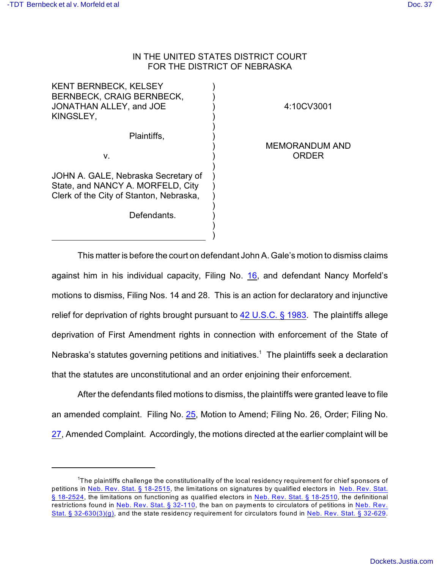## IN THE UNITED STATES DISTRICT COURT FOR THE DISTRICT OF NEBRASKA

) ) ) ) ) ) ) ) ) ) ) ) ) ) ) )

KENT BERNBECK, KELSEY BERNBECK, CRAIG BERNBECK, JONATHAN ALLEY, and JOE KINGSLEY,

Plaintiffs,

v.

JOHN A. GALE, Nebraska Secretary of State, and NANCY A. MORFELD, City Clerk of the City of Stanton, Nebraska,

Defendants.

4:10CV3001

MEMORANDUM AND ORDER

This matter is before the court on defendant John A. Gale's motion to dismiss claims against him in his individual capacity, Filing No. [16](http://ecf.ned.uscourts.gov/doc1/11301960505), and defendant Nancy Morfeld's motions to dismiss, Filing Nos. 14 and 28. This is an action for declaratory and injunctive relief for deprivation of rights brought pursuant to [42 U.S.C. § 1983](http://www.westlaw.com/find/default.wl?rs=CLWP3.0&vr=2.0&cite=42+USCA+s+1983). The plaintiffs allege deprivation of First Amendment rights in connection with enforcement of the State of Nebraska's statutes governing petitions and initiatives.<sup>1</sup> The plaintiffs seek a declaration that the statutes are unconstitutional and an order enjoining their enforcement.

After the defendants filed motions to dismiss, the plaintiffs were granted leave to file an amended complaint. Filing No. [25](http://ecf.ned.uscourts.gov/doc1/11301981067), Motion to Amend; Filing No. 26, Order; Filing No. [27](http://ecf.ned.uscourts.gov/doc1/11301985794), Amended Complaint. Accordingly, the motions directed at the earlier complaint will be

 $1$ The plaintiffs challenge the constitutionality of the local residency requirement for chief sponsors of petitions in [Neb. Rev. Stat. § 18-2515](http://www.westlaw.com/find/default.wl?rs=CLWP3.0&vr=2.0&cite=NE+ST+s+18-2515), the limitations on signatures by qualified electors in [Neb. Rev. Stat.](http://www.westlaw.com/find/default.wl?rs=CLWP3.0&vr=2.0&cite=NE+ST+s+18-2524) [§ 18-2524](http://www.westlaw.com/find/default.wl?rs=CLWP3.0&vr=2.0&cite=NE+ST+s+18-2524), the limitations on functioning as qualified electors in [Neb. Rev. Stat. § 18-2510](http://www.westlaw.com/find/default.wl?rs=CLWP3.0&vr=2.0&cite=NE+ST+s+18-2510), the definitional restrictions found in [Neb. Rev. Stat. § 32-110](http://www.westlaw.com/find/default.wl?rs=CLWP3.0&vr=2.0&cite=NE+ST+s+32-110), the ban on payments to circulators of petitions in [Neb. Rev.](http://www.westlaw.com/find/default.wl?rs=CLWP3.0&vr=2.0&cite=NE+ST+s+32-630%283%29%28g%29) [Stat. § 32-630\(3\)\(g\)](http://www.westlaw.com/find/default.wl?rs=CLWP3.0&vr=2.0&cite=NE+ST+s+32-630%283%29%28g%29), and the state residency requirement for circulators found in [Neb. Rev. Stat. § 32-629](http://www.westlaw.com/find/default.wl?rs=CLWP3.0&vr=2.0&cite=NE+ST+s+32-629).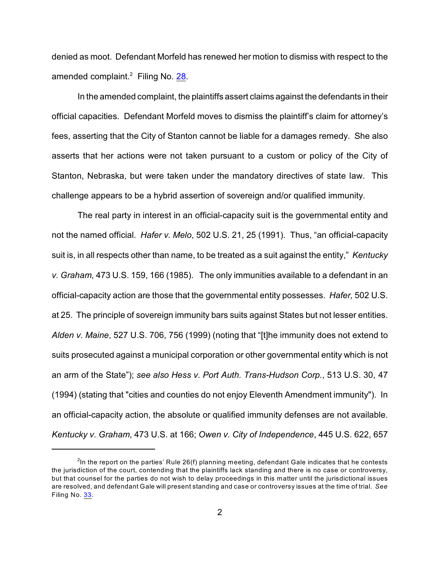denied as moot. Defendant Morfeld has renewed her motion to dismiss with respect to the amended complaint.<sup>2</sup> Filing No. [28](http://ecf.ned.uscourts.gov/doc1/11301992566).

In the amended complaint, the plaintiffs assert claims against the defendants in their official capacities. Defendant Morfeld moves to dismiss the plaintiff's claim for attorney's fees, asserting that the City of Stanton cannot be liable for a damages remedy. She also asserts that her actions were not taken pursuant to a custom or policy of the City of Stanton, Nebraska, but were taken under the mandatory directives of state law. This challenge appears to be a hybrid assertion of sovereign and/or qualified immunity.

The real party in interest in an official-capacity suit is the governmental entity and not the named official. *Hafer v. Melo*, 502 U.S. 21, 25 (1991). Thus, "an official-capacity suit is, in all respects other than name, to be treated as a suit against the entity," *Kentucky v. Graham*, 473 U.S. 159, 166 (1985). The only immunities available to a defendant in an official-capacity action are those that the governmental entity possesses. *Hafer,* 502 U.S. at 25. The principle of sovereign immunity bars suits against States but not lesser entities. *Alden v. Maine*, 527 U.S. 706, 756 (1999) (noting that "[t]he immunity does not extend to suits prosecuted against a municipal corporation or other governmental entity which is not an arm of the State"); *see also Hess v. Port Auth. Trans-Hudson Corp.*, 513 U.S. 30, 47 (1994) (stating that "cities and counties do not enjoy Eleventh Amendment immunity"). In an official-capacity action, the absolute or qualified immunity defenses are not available. *Kentucky v. Graham*, 473 U.S. at 166; *Owen v. City of Independence*, 445 U.S. 622, 657

<sup>&</sup>lt;sup>2</sup>In the report on the parties' Rule 26(f) planning meeting, defendant Gale indicates that he contests the jurisdiction of the court, contending that the plaintiffs lack standing and there is no case or controversy, but that counsel for the parties do not wish to delay proceedings in this matter until the jurisdictional issues are resolved, and defendant Gale will present standing and case or controversy issues at the time of trial. *See* Filing No. [33](http://ecf.ned.uscourts.gov/doc1/11302014501).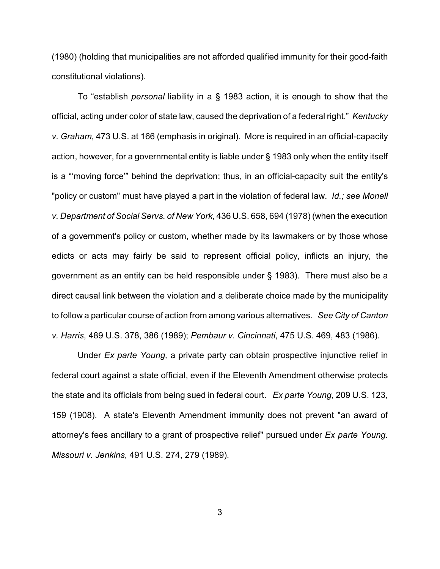(1980) (holding that municipalities are not afforded qualified immunity for their good-faith constitutional violations).

To "establish *personal* liability in a § 1983 action, it is enough to show that the official, acting under color of state law, caused the deprivation of a federal right." *Kentucky v. Graham*, 473 U.S. at 166 (emphasis in original). More is required in an official-capacity action, however, for a governmental entity is liable under § 1983 only when the entity itself is a "'moving force'" behind the deprivation; thus, in an official-capacity suit the entity's "policy or custom" must have played a part in the violation of federal law. *Id.; see Monell v. Department of Social Servs. of New York,* 436 U.S. 658, 694 (1978) (when the execution of a government's policy or custom, whether made by its lawmakers or by those whose edicts or acts may fairly be said to represent official policy, inflicts an injury, the government as an entity can be held responsible under § 1983). There must also be a direct causal link between the violation and a deliberate choice made by the municipality to follow a particular course of action from among various alternatives. *See City of Canton v. Harris*, 489 U.S. 378, 386 (1989); *Pembaur v. Cincinnati*, 475 U.S. 469, 483 (1986).

Under *Ex parte Young,* a private party can obtain prospective injunctive relief in federal court against a state official, even if the Eleventh Amendment otherwise protects the state and its officials from being sued in federal court. *Ex parte Young*, 209 U.S. 123, 159 (1908). A state's Eleventh Amendment immunity does not prevent "an award of attorney's fees ancillary to a grant of prospective relief" pursued under *Ex parte Young. Missouri v. Jenkins*, 491 U.S. 274, 279 (1989).

3